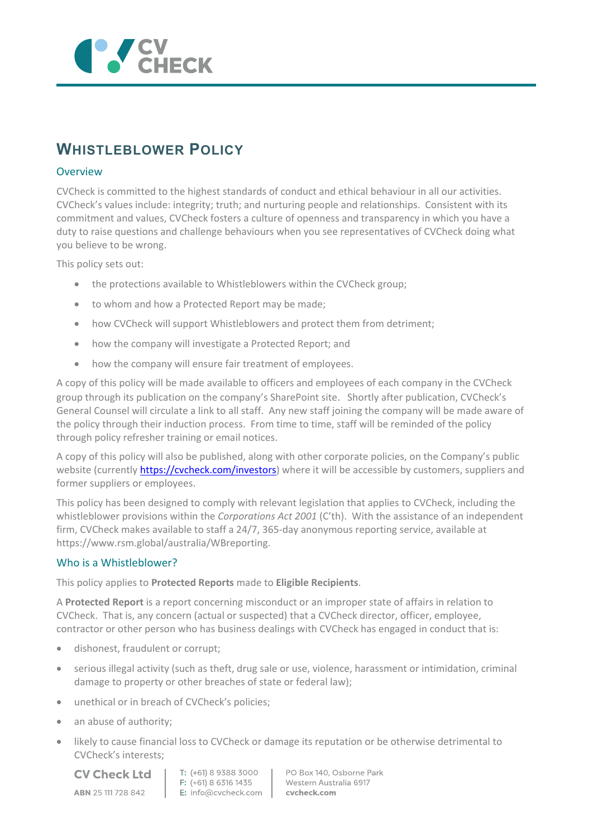

# **WHISTLEBLOWER POLICY**

## **Overview**

CVCheck is committed to the highest standards of conduct and ethical behaviour in all our activities. CVCheck's values include: integrity; truth; and nurturing people and relationships. Consistent with its commitment and values, CVCheck fosters a culture of openness and transparency in which you have a duty to raise questions and challenge behaviours when you see representatives of CVCheck doing what you believe to be wrong.

This policy sets out:

- the protections available to Whistleblowers within the CVCheck group;
- to whom and how a Protected Report may be made;
- how CVCheck will support Whistleblowers and protect them from detriment;
- how the company will investigate a Protected Report; and
- how the company will ensure fair treatment of employees.

A copy of this policy will be made available to officers and employees of each company in the CVCheck group through its publication on the company's SharePoint site. Shortly after publication, CVCheck's General Counsel will circulate a link to all staff. Any new staff joining the company will be made aware of the policy through their induction process. From time to time, staff will be reminded of the policy through policy refresher training or email notices.

A copy of this policy will also be published, along with other corporate policies, on the Company's public website (currentl[y https://cvcheck.com/investors\)](https://cvcheck.com/investors) where it will be accessible by customers, suppliers and former suppliers or employees.

This policy has been designed to comply with relevant legislation that applies to CVCheck, including the whistleblower provisions within the *Corporations Act 2001* (C'th). With the assistance of an independent firm, CVCheck makes available to staff a 24/7, 365-day anonymous reporting service, available at https://www.rsm.global/australia/WBreporting.

## Who is a Whistleblower?

This policy applies to **Protected Reports** made to **Eligible Recipients**.

A **Protected Report** is a report concerning misconduct or an improper state of affairs in relation to CVCheck. That is, any concern (actual or suspected) that a CVCheck director, officer, employee, contractor or other person who has business dealings with CVCheck has engaged in conduct that is:

- dishonest, fraudulent or corrupt;
- serious illegal activity (such as theft, drug sale or use, violence, harassment or intimidation, criminal damage to property or other breaches of state or federal law);
- unethical or in breach of CVCheck's policies;
- an abuse of authority;
- likely to cause financial loss to CVCheck or damage its reputation or be otherwise detrimental to CVCheck's interests;

**CV Check Ltd** ABN 25 111 728 842

T: (+61) 8 9388 3000  $F: (+61) 8 6316 1435$ E: info@cvcheck.com | cvcheck.com

PO Box 140, Osborne Park Western Australia 6917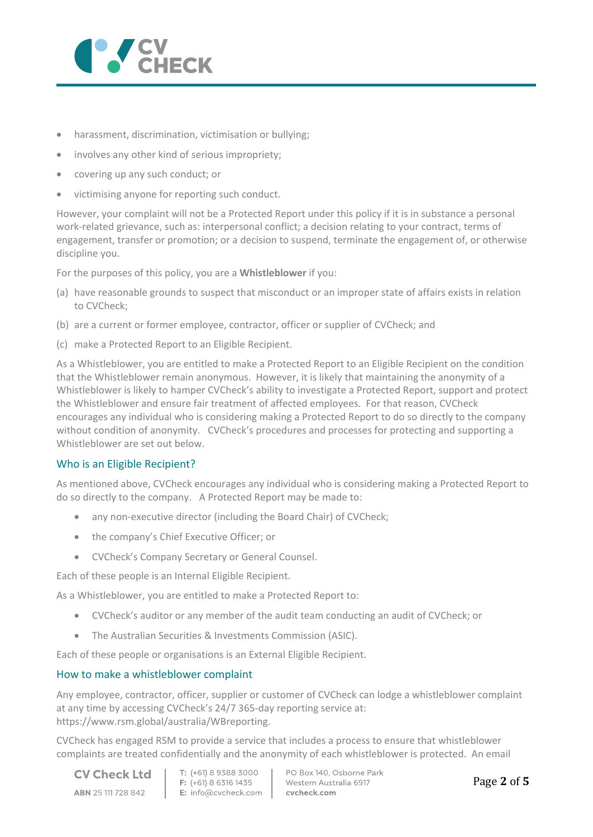

- harassment, discrimination, victimisation or bullying;
- involves any other kind of serious impropriety;
- covering up any such conduct; or
- victimising anyone for reporting such conduct.

However, your complaint will not be a Protected Report under this policy if it is in substance a personal work-related grievance, such as: interpersonal conflict; a decision relating to your contract, terms of engagement, transfer or promotion; or a decision to suspend, terminate the engagement of, or otherwise discipline you.

For the purposes of this policy, you are a **Whistleblower** if you:

- (a) have reasonable grounds to suspect that misconduct or an improper state of affairs exists in relation to CVCheck;
- (b) are a current or former employee, contractor, officer or supplier of CVCheck; and
- (c) make a Protected Report to an Eligible Recipient.

As a Whistleblower, you are entitled to make a Protected Report to an Eligible Recipient on the condition that the Whistleblower remain anonymous. However, it is likely that maintaining the anonymity of a Whistleblower is likely to hamper CVCheck's ability to investigate a Protected Report, support and protect the Whistleblower and ensure fair treatment of affected employees. For that reason, CVCheck encourages any individual who is considering making a Protected Report to do so directly to the company without condition of anonymity. CVCheck's procedures and processes for protecting and supporting a Whistleblower are set out below.

## Who is an Eligible Recipient?

As mentioned above, CVCheck encourages any individual who is considering making a Protected Report to do so directly to the company. A Protected Report may be made to:

- any non-executive director (including the Board Chair) of CVCheck;
- the company's Chief Executive Officer; or
- CVCheck's Company Secretary or General Counsel.

Each of these people is an Internal Eligible Recipient.

As a Whistleblower, you are entitled to make a Protected Report to:

- CVCheck's auditor or any member of the audit team conducting an audit of CVCheck; or
- The Australian Securities & Investments Commission (ASIC).

Each of these people or organisations is an External Eligible Recipient.

#### How to make a whistleblower complaint

Any employee, contractor, officer, supplier or customer of CVCheck can lodge a whistleblower complaint at any time by accessing CVCheck's 24/7 365-day reporting service at: https://www.rsm.global/australia/WBreporting.

CVCheck has engaged RSM to provide a service that includes a process to ensure that whistleblower complaints are treated confidentially and the anonymity of each whistleblower is protected. An email

**CV Check Ltd** ABN 25 111 728 842

T: (+61) 8 9388 3000  $F: (+61) 8 6316 1435$ E: info@cvcheck.com | cvcheck.com

PO Box 140, Osborne Park Western Australia 6917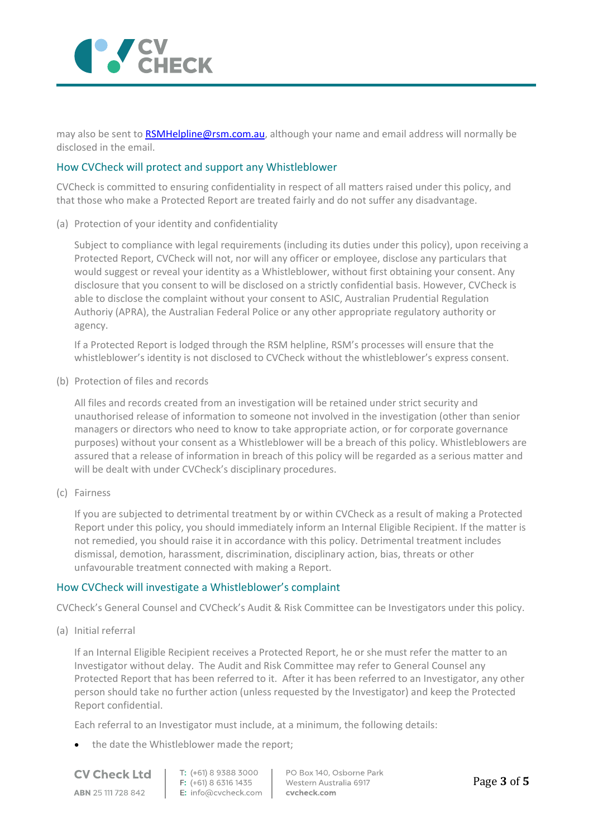

may also be sent to [RSMHelpline@rsm.com.au,](mailto:RSMHelpline@rsm.com.au) although your name and email address will normally be disclosed in the email.

### How CVCheck will protect and support any Whistleblower

CVCheck is committed to ensuring confidentiality in respect of all matters raised under this policy, and that those who make a Protected Report are treated fairly and do not suffer any disadvantage.

(a) Protection of your identity and confidentiality

Subject to compliance with legal requirements (including its duties under this policy), upon receiving a Protected Report, CVCheck will not, nor will any officer or employee, disclose any particulars that would suggest or reveal your identity as a Whistleblower, without first obtaining your consent. Any disclosure that you consent to will be disclosed on a strictly confidential basis. However, CVCheck is able to disclose the complaint without your consent to ASIC, Australian Prudential Regulation Authoriy (APRA), the Australian Federal Police or any other appropriate regulatory authority or agency.

If a Protected Report is lodged through the RSM helpline, RSM's processes will ensure that the whistleblower's identity is not disclosed to CVCheck without the whistleblower's express consent.

(b) Protection of files and records

All files and records created from an investigation will be retained under strict security and unauthorised release of information to someone not involved in the investigation (other than senior managers or directors who need to know to take appropriate action, or for corporate governance purposes) without your consent as a Whistleblower will be a breach of this policy. Whistleblowers are assured that a release of information in breach of this policy will be regarded as a serious matter and will be dealt with under CVCheck's disciplinary procedures.

(c) Fairness

If you are subjected to detrimental treatment by or within CVCheck as a result of making a Protected Report under this policy, you should immediately inform an Internal Eligible Recipient. If the matter is not remedied, you should raise it in accordance with this policy. Detrimental treatment includes dismissal, demotion, harassment, discrimination, disciplinary action, bias, threats or other unfavourable treatment connected with making a Report.

#### How CVCheck will investigate a Whistleblower's complaint

CVCheck's General Counsel and CVCheck's Audit & Risk Committee can be Investigators under this policy.

(a) Initial referral

If an Internal Eligible Recipient receives a Protected Report, he or she must refer the matter to an Investigator without delay. The Audit and Risk Committee may refer to General Counsel any Protected Report that has been referred to it. After it has been referred to an Investigator, any other person should take no further action (unless requested by the Investigator) and keep the Protected Report confidential.

Each referral to an Investigator must include, at a minimum, the following details:

• the date the Whistleblower made the report;

**CV Check Ltd ABN 25111728842** 

T: (+61) 8 9388 3000 F: (+61) 8 6316 1435 E: info@cvcheck.com

PO Box 140, Osborne Park Western Australia 6917 cvcheck.com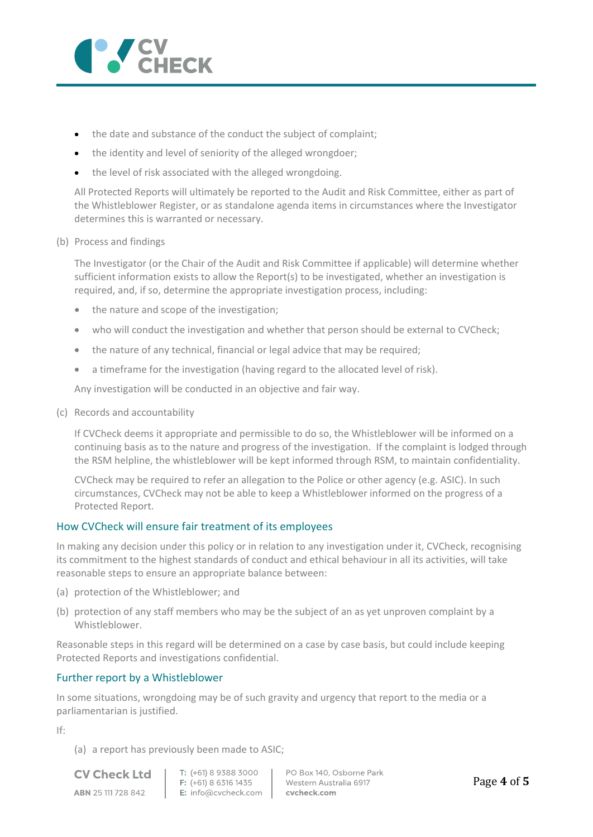

- the date and substance of the conduct the subject of complaint;
- the identity and level of seniority of the alleged wrongdoer;
- the level of risk associated with the alleged wrongdoing.

All Protected Reports will ultimately be reported to the Audit and Risk Committee, either as part of the Whistleblower Register, or as standalone agenda items in circumstances where the Investigator determines this is warranted or necessary.

(b) Process and findings

The Investigator (or the Chair of the Audit and Risk Committee if applicable) will determine whether sufficient information exists to allow the Report(s) to be investigated, whether an investigation is required, and, if so, determine the appropriate investigation process, including:

- the nature and scope of the investigation;
- who will conduct the investigation and whether that person should be external to CVCheck;
- the nature of any technical, financial or legal advice that may be required;
- a timeframe for the investigation (having regard to the allocated level of risk).

Any investigation will be conducted in an objective and fair way.

(c) Records and accountability

If CVCheck deems it appropriate and permissible to do so, the Whistleblower will be informed on a continuing basis as to the nature and progress of the investigation. If the complaint is lodged through the RSM helpline, the whistleblower will be kept informed through RSM, to maintain confidentiality.

CVCheck may be required to refer an allegation to the Police or other agency (e.g. ASIC). In such circumstances, CVCheck may not be able to keep a Whistleblower informed on the progress of a Protected Report.

## How CVCheck will ensure fair treatment of its employees

In making any decision under this policy or in relation to any investigation under it, CVCheck, recognising its commitment to the highest standards of conduct and ethical behaviour in all its activities, will take reasonable steps to ensure an appropriate balance between:

- (a) protection of the Whistleblower; and
- (b) protection of any staff members who may be the subject of an as yet unproven complaint by a Whistleblower.

Reasonable steps in this regard will be determined on a case by case basis, but could include keeping Protected Reports and investigations confidential.

## Further report by a Whistleblower

In some situations, wrongdoing may be of such gravity and urgency that report to the media or a parliamentarian is justified.

If:

(a) a report has previously been made to ASIC;

**CV Check Ltd** ABN 25 111 728 842

T: (+61) 8 9388 3000  $F: (+61) 8 6316 1435$ E: info@cvcheck.com | cvcheck.com

PO Box 140, Osborne Park Western Australia 6917